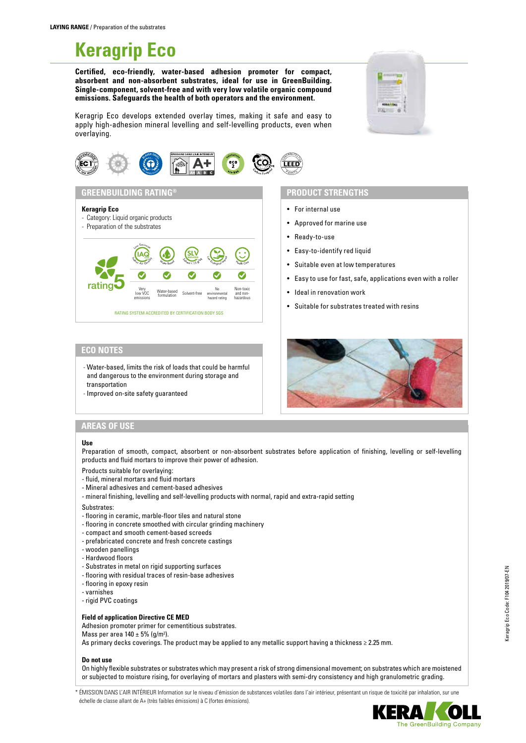# **Keragrip Eco**

**Certified, eco-friendly, water-based adhesion promoter for compact, absorbent and non-absorbent substrates, ideal for use in GreenBuilding. Single-component, solvent-free and with very low volatile organic compound emissions. Safeguards the health of both operators and the environment.**



Keragrip Eco develops extended overlay times, making it safe and easy to apply high-adhesion mineral levelling and self-levelling products, even when overlaying.



 $S_{kmn}$  ≤ 15 g/kg  $\text{SLV}$  Reduced Low Equation  $\sum_{n=1}^{\infty}$ 

Solvent-free

No environmental hazard rating

<sup>H</sup><sup>e</sup>alt<sup>h</sup> <sup>C</sup>ar<sup>e</sup>

Non-toxic and non-hazardous

## **PRODUCT STRENGTHS**

- For internal use
- Approved for marine use
- Ready-to-use
- Easy-to-identify red liquid
- Suitable even at low temperatures
- Easy to use for fast, safe, applications even with a roller
- Ideal in renovation work
- Suitable for substrates treated with resins

## **ECO NOTES**

rating<sup>5</sup>

**Keragrip Eco**

- Category: Liquid organic products - Preparation of the substrates

> $\left(\underset{\scriptscriptstyle \mathcal{A}_1,\cdots,\mathcal{A}_n}{\operatorname{I}}\right)$ Low Emission

Very low VOC emissions

**GREENBUILDING RATING®**

- Water-based, limits the risk of loads that could be harmful and dangerous to the environment during storage and transportation

RATING SYSTEM ACCREDITED BY CERTIFICATION BODY SGS

Water-based

Water Based

- Improved on-site safety guaranteed



## **AREAS OF USE**

#### **Use**

Preparation of smooth, compact, absorbent or non-absorbent substrates before application of finishing, levelling or self-levelling products and fluid mortars to improve their power of adhesion.

- Products suitable for overlaying:
- fluid, mineral mortars and fluid mortars
- Mineral adhesives and cement-based adhesives
- mineral finishing, levelling and self-levelling products with normal, rapid and extra-rapid setting
- Substrates:
- flooring in ceramic, marble-floor tiles and natural stone
- flooring in concrete smoothed with circular grinding machinery
- compact and smooth cement-based screeds
- prefabricated concrete and fresh concrete castings
- wooden panellings
- Hardwood floors
- Substrates in metal on rigid supporting surfaces
- flooring with residual traces of resin-base adhesives
- flooring in epoxy resin
- varnishes
- rigid PVC coatings

#### **Field of application Directive CE MED**

Adhesion promoter primer for cementitious substrates. Mass per area  $140 \pm 5\%$  (g/m<sup>2</sup>). As primary decks coverings. The product may be applied to any metallic support having a thickness ≥ 2.25 mm.

#### **Do not use**

On highly flexible substrates or substrates which may present a risk of strong dimensional movement; on substrates which are moistened or subjected to moisture rising, for overlaying of mortars and plasters with semi-dry consistency and high granulometric grading.

\* ÉMISSION DANS L'AIR INTÉRIEUR Information sur le niveau d'émission de substances volatiles dans l'air intérieur, présentant un risque de toxicité par inhalation, sur une échelle de classe allant de A+ (très faibles émissions) à C (fortes émissions).

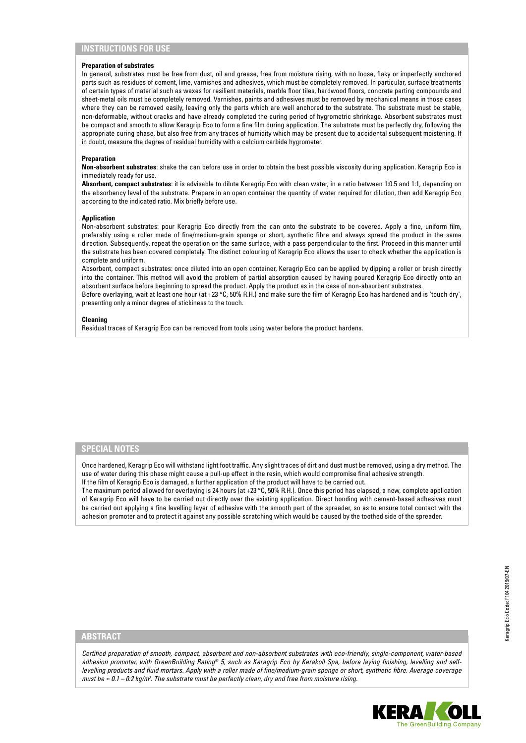## **INSTRUCTIONS FOR USE**

#### **Preparation of substrates**

In general, substrates must be free from dust, oil and grease, free from moisture rising, with no loose, flaky or imperfectly anchored parts such as residues of cement, lime, varnishes and adhesives, which must be completely removed. In particular, surface treatments of certain types of material such as waxes for resilient materials, marble floor tiles, hardwood floors, concrete parting compounds and sheet-metal oils must be completely removed. Varnishes, paints and adhesives must be removed by mechanical means in those cases where they can be removed easily, leaving only the parts which are well anchored to the substrate. The substrate must be stable, non-deformable, without cracks and have already completed the curing period of hygrometric shrinkage. Absorbent substrates must be compact and smooth to allow Keragrip Eco to form a fine film during application. The substrate must be perfectly dry, following the appropriate curing phase, but also free from any traces of humidity which may be present due to accidental subsequent moistening. If in doubt, measure the degree of residual humidity with a calcium carbide hygrometer.

#### **Preparation**

**Non-absorbent substrates**: shake the can before use in order to obtain the best possible viscosity during application. Keragrip Eco is immediately ready for use.

**Absorbent, compact substrates**: it is advisable to dilute Keragrip Eco with clean water, in a ratio between 1:0.5 and 1:1, depending on the absorbency level of the substrate. Prepare in an open container the quantity of water required for dilution, then add Keragrip Eco according to the indicated ratio. Mix briefly before use.

#### **Application**

Non-absorbent substrates: pour Keragrip Eco directly from the can onto the substrate to be covered. Apply a fine, uniform film, preferably using a roller made of fine/medium-grain sponge or short, synthetic fibre and always spread the product in the same direction. Subsequently, repeat the operation on the same surface, with a pass perpendicular to the first. Proceed in this manner until the substrate has been covered completely. The distinct colouring of Keragrip Eco allows the user to check whether the application is complete and uniform.

Absorbent, compact substrates: once diluted into an open container, Keragrip Eco can be applied by dipping a roller or brush directly into the container. This method will avoid the problem of partial absorption caused by having poured Keragrip Eco directly onto an absorbent surface before beginning to spread the product. Apply the product as in the case of non-absorbent substrates. Before overlaying, wait at least one hour (at +23 °C, 50% R.H.) and make sure the film of Keragrip Eco has hardened and is 'touch dry',

**Cleaning**

Residual traces of Keragrip Eco can be removed from tools using water before the product hardens.

presenting only a minor degree of stickiness to the touch.

## **SPECIAL NOTES**

Once hardened, Keragrip Eco will withstand light foot traffic. Any slight traces of dirt and dust must be removed, using a dry method. The use of water during this phase might cause a pull-up effect in the resin, which would compromise final adhesive strength. If the film of Keragrip Eco is damaged, a further application of the product will have to be carried out.

The maximum period allowed for overlaying is 24 hours (at +23 °C, 50% R.H.). Once this period has elapsed, a new, complete application of Keragrip Eco will have to be carried out directly over the existing application. Direct bonding with cement-based adhesives must be carried out applying a fine levelling layer of adhesive with the smooth part of the spreader, so as to ensure total contact with the adhesion promoter and to protect it against any possible scratching which would be caused by the toothed side of the spreader.

## **ABSTRACT**

*Certified preparation of smooth, compact, absorbent and non-absorbent substrates with eco-friendly, single-component, water-based adhesion promoter, with GreenBuilding Rating® 5, such as Keragrip Eco by Kerakoll Spa, before laying finishing, levelling and selflevelling products and fluid mortars. Apply with a roller made of fine/medium-grain sponge or short, synthetic fibre. Average coverage must be ≈ 0.1 – 0.2 kg/m2 . The substrate must be perfectly clean, dry and free from moisture rising.*